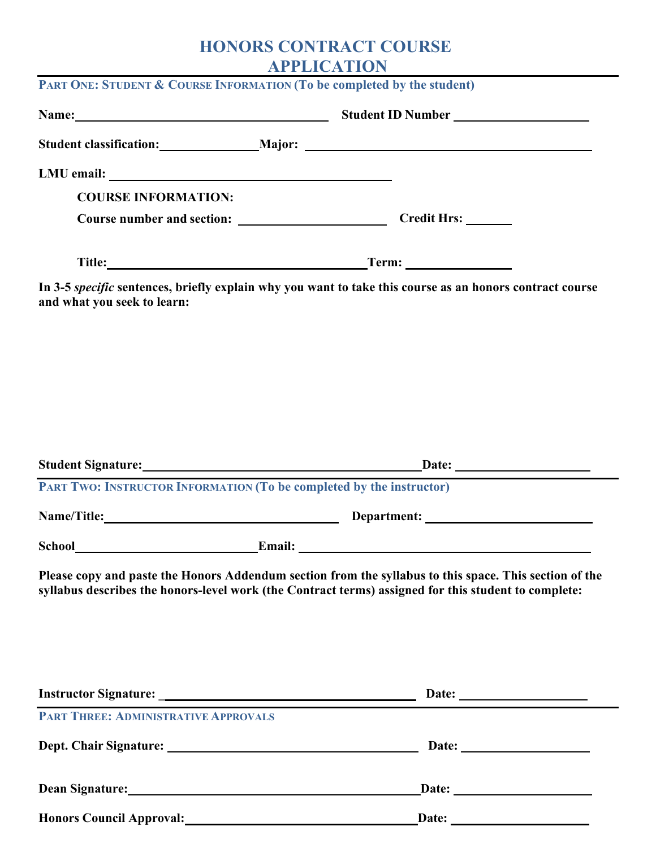## **HONORS CONTRACT COURSE APPLICATION**

|                                             | PART ONE: STUDENT & COURSE INFORMATION (To be completed by the student)                                                                                                                                                        |
|---------------------------------------------|--------------------------------------------------------------------------------------------------------------------------------------------------------------------------------------------------------------------------------|
|                                             |                                                                                                                                                                                                                                |
|                                             | Student classification: Major: Major: Major: Major: Major: Major: Major: Major: Major: Major: Major: Major: Major: Major: Major: Major: Major: Major: Major: Major: Major: Major: Major: Major: Major: Major: Major: Major: Ma |
|                                             |                                                                                                                                                                                                                                |
| <b>COURSE INFORMATION:</b>                  |                                                                                                                                                                                                                                |
|                                             |                                                                                                                                                                                                                                |
|                                             |                                                                                                                                                                                                                                |
| and what you seek to learn:                 | In 3-5 specific sentences, briefly explain why you want to take this course as an honors contract course                                                                                                                       |
|                                             |                                                                                                                                                                                                                                |
|                                             | PART TWO: INSTRUCTOR INFORMATION (To be completed by the instructor)                                                                                                                                                           |
|                                             |                                                                                                                                                                                                                                |
|                                             |                                                                                                                                                                                                                                |
|                                             | Please copy and paste the Honors Addendum section from the syllabus to this space. This section of the<br>syllabus describes the honors-level work (the Contract terms) assigned for this student to complete:                 |
|                                             | Date:                                                                                                                                                                                                                          |
| <b>PART THREE: ADMINISTRATIVE APPROVALS</b> |                                                                                                                                                                                                                                |
|                                             |                                                                                                                                                                                                                                |
|                                             | Dean Signature: Date: Date: Date:                                                                                                                                                                                              |

**Honors Council Approval: Date:**